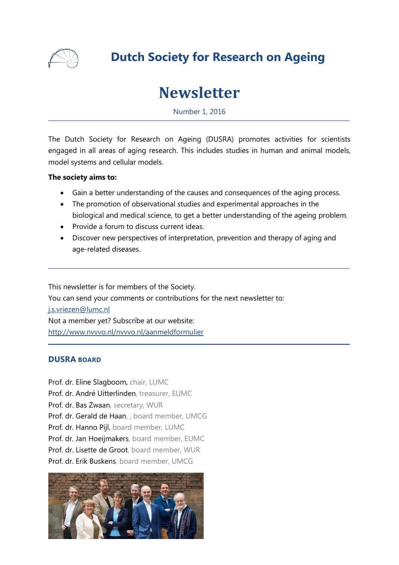

# **Dutch Society for Research on Ageing**

# **Newsletter**

Number 1, 2016

The Dutch Society for Research on Ageing (DUSRA) promotes activities for scientists engaged in all areas of aging research. This includes studies in human and animal models, model systems and cellular models.

#### **The society aims to:**

- Gain a better understanding of the causes and consequences of the aging process.
- The promotion of observational studies and experimental approaches in the biological and medical science, to get a better understanding of the ageing problem.
- Provide a forum to discuss current ideas.
- Discover new perspectives of interpretation, prevention and therapy of aging and age-related diseases.

This newsletter is for members of the Society. You can send your comments or contributions for the next newsletter to: [j.s.vriezen@lumc.nl](mailto:j.s.vriezen@lumc.nl) Not a member yet? Subscribe at our website: <http://www.nvvvo.nl/nvvvo.nl/aanmeldformulier>

#### **DUSRA BOARD**

Prof. dr. Eline Slagboom, chair, LUMC Prof. dr. André Uitterlinden, treasurer, EUMC Prof. dr. Bas Zwaan, secretary, WUR Prof. dr. Gerald de Haan, , board member, UMCG Prof. dr. Hanno Pijl, board member, LUMC Prof. dr. Jan Hoeijmakers, board member, EUMC Prof. dr. Lisette de Groot, board member, WUR Prof. dr. Erik Buskens, board member, UMCG

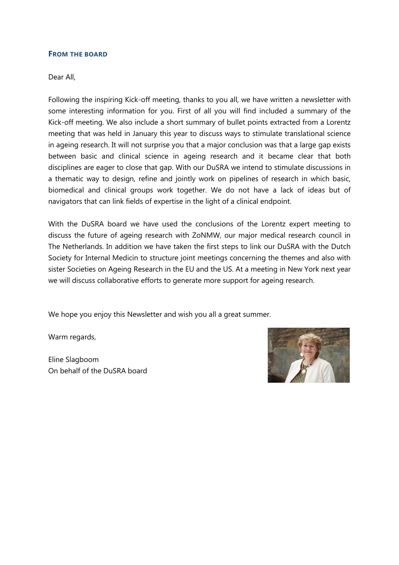#### **FROM THE BOARD**

#### Dear All,

Following the inspiring Kick-off meeting, thanks to you all, we have written a newsletter with some interesting information for you. First of all you will find included a summary of the Kick-off meeting. We also include a short summary of bullet points extracted from a Lorentz meeting that was held in January this year to discuss ways to stimulate translational science in ageing research. It will not surprise you that a major conclusion was that a large gap exists between basic and clinical science in ageing research and it became clear that both disciplines are eager to close that gap. With our DuSRA we intend to stimulate discussions in a thematic way to design, refine and jointly work on pipelines of research in which basic, biomedical and clinical groups work together. We do not have a lack of ideas but of navigators that can link fields of expertise in the light of a clinical endpoint.

With the DuSRA board we have used the conclusions of the Lorentz expert meeting to discuss the future of ageing research with ZoNMW, our major medical research council in The Netherlands. In addition we have taken the first steps to link our DuSRA with the Dutch Society for Internal Medicin to structure joint meetings concerning the themes and also with sister Societies on Ageing Research in the EU and the US. At a meeting in New York next year we will discuss collaborative efforts to generate more support for ageing research.

We hope you enjoy this Newsletter and wish you all a great summer.

Warm regards,

Eline Slagboom On behalf of the DuSRA board

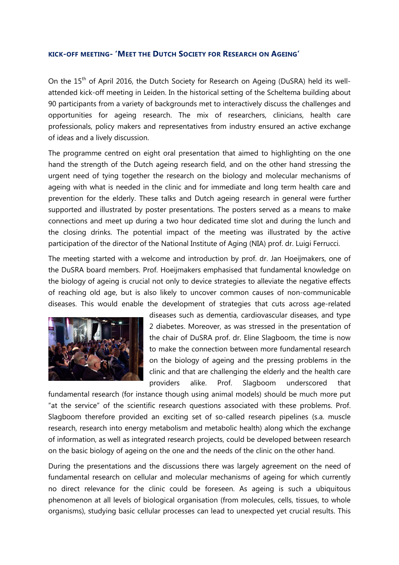#### **KICK-OFF MEETING- 'MEET THE DUTCH SOCIETY FOR RESEARCH ON AGEING'**

On the 15<sup>th</sup> of April 2016, the Dutch Society for Research on Ageing (DuSRA) held its wellattended kick-off meeting in Leiden. In the historical setting of the Scheltema building about 90 participants from a variety of backgrounds met to interactively discuss the challenges and opportunities for ageing research. The mix of researchers, clinicians, health care professionals, policy makers and representatives from industry ensured an active exchange of ideas and a lively discussion.

The programme centred on eight oral presentation that aimed to highlighting on the one hand the strength of the Dutch ageing research field, and on the other hand stressing the urgent need of tying together the research on the biology and molecular mechanisms of ageing with what is needed in the clinic and for immediate and long term health care and prevention for the elderly. These talks and Dutch ageing research in general were further supported and illustrated by poster presentations. The posters served as a means to make connections and meet up during a two hour dedicated time slot and during the lunch and the closing drinks. The potential impact of the meeting was illustrated by the active participation of the director of the National Institute of Aging (NIA) prof. dr. Luigi Ferrucci.

The meeting started with a welcome and introduction by prof. dr. Jan Hoeijmakers, one of the DuSRA board members. Prof. Hoeijmakers emphasised that fundamental knowledge on the biology of ageing is crucial not only to device strategies to alleviate the negative effects of reaching old age, but is also likely to uncover common causes of non-communicable diseases. This would enable the development of strategies that cuts across age-related



diseases such as dementia, cardiovascular diseases, and type 2 diabetes. Moreover, as was stressed in the presentation of the chair of DuSRA prof. dr. Eline Slagboom, the time is now to make the connection between more fundamental research on the biology of ageing and the pressing problems in the clinic and that are challenging the elderly and the health care providers alike. Prof. Slagboom underscored that

fundamental research (for instance though using animal models) should be much more put "at the service" of the scientific research questions associated with these problems. Prof. Slagboom therefore provided an exciting set of so-called research pipelines (s.a. muscle research, research into energy metabolism and metabolic health) along which the exchange of information, as well as integrated research projects, could be developed between research on the basic biology of ageing on the one and the needs of the clinic on the other hand.

During the presentations and the discussions there was largely agreement on the need of fundamental research on cellular and molecular mechanisms of ageing for which currently no direct relevance for the clinic could be foreseen. As ageing is such a ubiquitous phenomenon at all levels of biological organisation (from molecules, cells, tissues, to whole organisms), studying basic cellular processes can lead to unexpected yet crucial results. This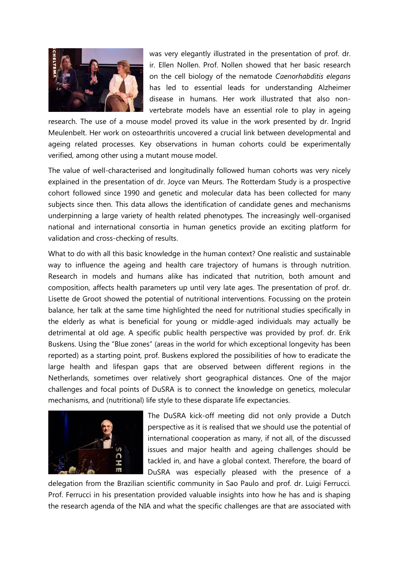

was very elegantly illustrated in the presentation of prof. dr. ir. Ellen Nollen. Prof. Nollen showed that her basic research on the cell biology of the nematode *Caenorhabditis elegans* has led to essential leads for understanding Alzheimer disease in humans. Her work illustrated that also nonvertebrate models have an essential role to play in ageing

research. The use of a mouse model proved its value in the work presented by dr. Ingrid Meulenbelt. Her work on osteoarthritis uncovered a crucial link between developmental and ageing related processes. Key observations in human cohorts could be experimentally verified, among other using a mutant mouse model.

The value of well-characterised and longitudinally followed human cohorts was very nicely explained in the presentation of dr. Joyce van Meurs. The Rotterdam Study is a prospective cohort followed since 1990 and genetic and molecular data has been collected for many subjects since then. This data allows the identification of candidate genes and mechanisms underpinning a large variety of health related phenotypes. The increasingly well-organised national and international consortia in human genetics provide an exciting platform for validation and cross-checking of results.

What to do with all this basic knowledge in the human context? One realistic and sustainable way to influence the ageing and health care trajectory of humans is through nutrition. Research in models and humans alike has indicated that nutrition, both amount and composition, affects health parameters up until very late ages. The presentation of prof. dr. Lisette de Groot showed the potential of nutritional interventions. Focussing on the protein balance, her talk at the same time highlighted the need for nutritional studies specifically in the elderly as what is beneficial for young or middle-aged individuals may actually be detrimental at old age. A specific public health perspective was provided by prof. dr. Erik Buskens. Using the "Blue zones" (areas in the world for which exceptional longevity has been reported) as a starting point, prof. Buskens explored the possibilities of how to eradicate the large health and lifespan gaps that are observed between different regions in the Netherlands, sometimes over relatively short geographical distances. One of the major challenges and focal points of DuSRA is to connect the knowledge on genetics, molecular mechanisms, and (nutritional) life style to these disparate life expectancies.



The DuSRA kick-off meeting did not only provide a Dutch perspective as it is realised that we should use the potential of international cooperation as many, if not all, of the discussed issues and major health and ageing challenges should be tackled in, and have a global context. Therefore, the board of DuSRA was especially pleased with the presence of a

delegation from the Brazilian scientific community in Sao Paulo and prof. dr. Luigi Ferrucci. Prof. Ferrucci in his presentation provided valuable insights into how he has and is shaping the research agenda of the NIA and what the specific challenges are that are associated with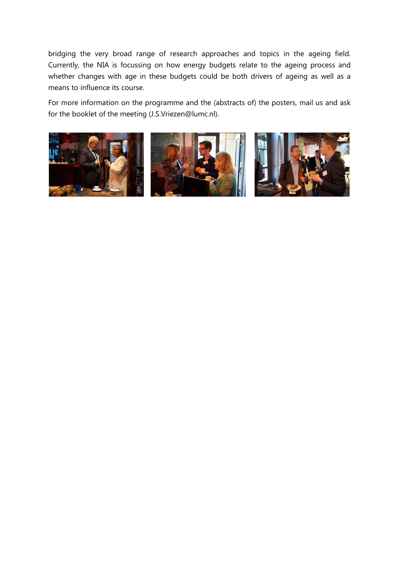bridging the very broad range of research approaches and topics in the ageing field. Currently, the NIA is focussing on how energy budgets relate to the ageing process and whether changes with age in these budgets could be both drivers of ageing as well as a means to influence its course.

For more information on the programme and the (abstracts of) the posters, mail us and ask for the booklet of the meeting (J.S.Vriezen@lumc.nl).

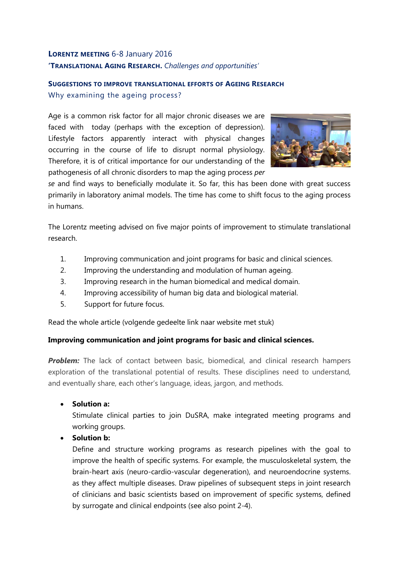# **LORENTZ MEETING** 6-8 January 2016 **'TRANSLATIONAL AGING RESEARCH.** *Challenges and opportunities'*

# **SUGGESTIONS TO IMPROVE TRANSLATIONAL EFFORTS OF AGEING RESEARCH** Why examining the ageing process?

Age is a common risk factor for all major chronic diseases we are faced with today (perhaps with the exception of depression). Lifestyle factors apparently interact with physical changes occurring in the course of life to disrupt normal physiology. Therefore, it is of critical importance for our understanding of the pathogenesis of all chronic disorders to map the aging process *per* 



*se* and find ways to beneficially modulate it. So far, this has been done with great success primarily in laboratory animal models. The time has come to shift focus to the aging process in humans.

The Lorentz meeting advised on five major points of improvement to stimulate translational research.

- 1. Improving communication and joint programs for basic and clinical sciences.
- 2. Improving the understanding and modulation of human ageing.
- 3. Improving research in the human biomedical and medical domain.
- 4. Improving accessibility of human big data and biological material.
- 5. Support for future focus.

Read the whole article (volgende gedeelte link naar website met stuk)

#### **Improving communication and joint programs for basic and clinical sciences.**

**Problem:** The lack of contact between basic, biomedical, and clinical research hampers exploration of the translational potential of results. These disciplines need to understand, and eventually share, each other's language, ideas, jargon, and methods.

• **Solution a:**

Stimulate clinical parties to join DuSRA, make integrated meeting programs and working groups.

#### • **Solution b:**

Define and structure working programs as research pipelines with the goal to improve the health of specific systems. For example, the musculoskeletal system, the brain-heart axis (neuro-cardio-vascular degeneration), and neuroendocrine systems. as they affect multiple diseases. Draw pipelines of subsequent steps in joint research of clinicians and basic scientists based on improvement of specific systems, defined by surrogate and clinical endpoints (see also point 2-4).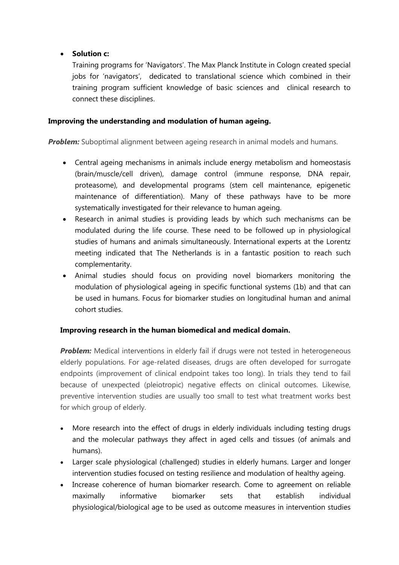## • **Solution c:**

Training programs for 'Navigators'. The Max Planck Institute in Cologn created special jobs for 'navigators', dedicated to translational science which combined in their training program sufficient knowledge of basic sciences and clinical research to connect these disciplines.

#### **Improving the understanding and modulation of human ageing.**

**Problem:** Suboptimal alignment between ageing research in animal models and humans.

- Central ageing mechanisms in animals include energy metabolism and homeostasis (brain/muscle/cell driven), damage control (immune response, DNA repair, proteasome), and developmental programs (stem cell maintenance, epigenetic maintenance of differentiation). Many of these pathways have to be more systematically investigated for their relevance to human ageing.
- Research in animal studies is providing leads by which such mechanisms can be modulated during the life course. These need to be followed up in physiological studies of humans and animals simultaneously. International experts at the Lorentz meeting indicated that The Netherlands is in a fantastic position to reach such complementarity.
- Animal studies should focus on providing novel biomarkers monitoring the modulation of physiological ageing in specific functional systems (1b) and that can be used in humans. Focus for biomarker studies on longitudinal human and animal cohort studies.

#### **Improving research in the human biomedical and medical domain.**

**Problem:** Medical interventions in elderly fail if drugs were not tested in heterogeneous elderly populations. For age-related diseases, drugs are often developed for surrogate endpoints (improvement of clinical endpoint takes too long). In trials they tend to fail because of unexpected (pleiotropic) negative effects on clinical outcomes. Likewise, preventive intervention studies are usually too small to test what treatment works best for which group of elderly.

- More research into the effect of drugs in elderly individuals including testing drugs and the molecular pathways they affect in aged cells and tissues (of animals and humans).
- Larger scale physiological (challenged) studies in elderly humans. Larger and longer intervention studies focused on testing resilience and modulation of healthy ageing.
- Increase coherence of human biomarker research. Come to agreement on reliable maximally informative biomarker sets that establish individual physiological/biological age to be used as outcome measures in intervention studies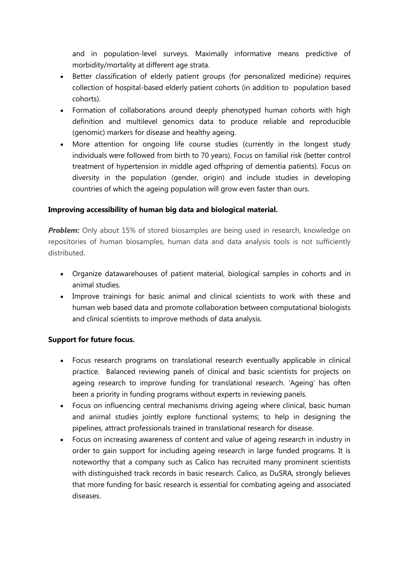and in population-level surveys. Maximally informative means predictive of morbidity/mortality at different age strata.

- Better classification of elderly patient groups (for personalized medicine) requires collection of hospital-based elderly patient cohorts (in addition to population based cohorts).
- Formation of collaborations around deeply phenotyped human cohorts with high definition and multilevel genomics data to produce reliable and reproducible (genomic) markers for disease and healthy ageing.
- More attention for ongoing life course studies (currently in the longest study individuals were followed from birth to 70 years). Focus on familial risk (better control treatment of hypertension in middle aged offspring of dementia patients). Focus on diversity in the population (gender, origin) and include studies in developing countries of which the ageing population will grow even faster than ours.

### **Improving accessibility of human big data and biological material.**

**Problem:** Only about 15% of stored biosamples are being used in research, knowledge on repositories of human biosamples, human data and data analysis tools is not sufficiently distributed.

- Organize datawarehouses of patient material, biological samples in cohorts and in animal studies.
- Improve trainings for basic animal and clinical scientists to work with these and human web based data and promote collaboration between computational biologists and clinical scientists to improve methods of data analysis.

#### **Support for future focus.**

- Focus research programs on translational research eventually applicable in clinical practice. Balanced reviewing panels of clinical and basic scientists for projects on ageing research to improve funding for translational research. 'Ageing' has often been a priority in funding programs without experts in reviewing panels.
- Focus on influencing central mechanisms driving ageing where clinical, basic human and animal studies jointly explore functional systems; to help in designing the pipelines, attract professionals trained in translational research for disease.
- Focus on increasing awareness of content and value of ageing research in industry in order to gain support for including ageing research in large funded programs. It is noteworthy that a company such as Calico has recruited many prominent scientists with distinguished track records in basic research. Calico, as DuSRA, strongly believes that more funding for basic research is essential for combating ageing and associated diseases.